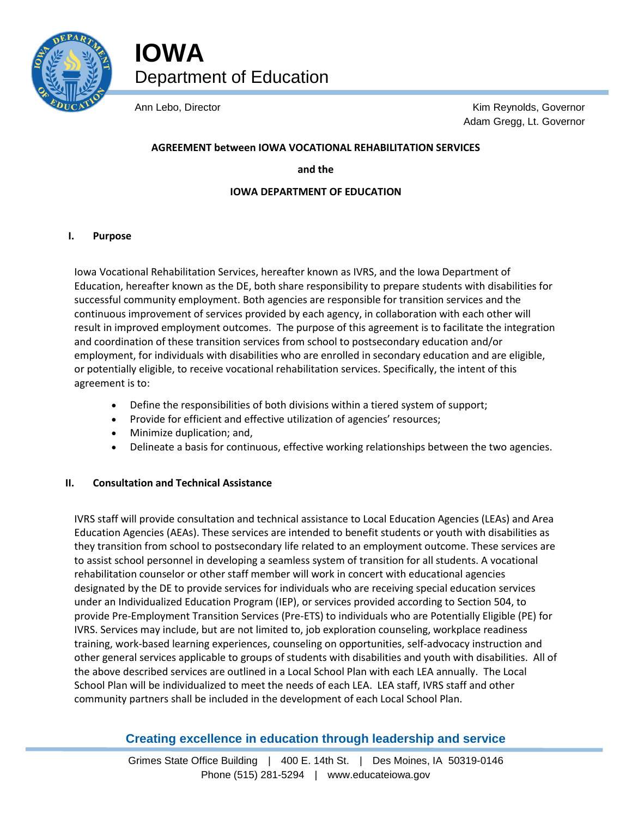

**IOWA** Department of Education

Ann Lebo, Director **Kim Reynolds**, Governor Adam Gregg, Lt. Governor

# **AGREEMENT between IOWA VOCATIONAL REHABILITATION SERVICES**

**and the**

## **IOWA DEPARTMENT OF EDUCATION**

## **I. Purpose**

Iowa Vocational Rehabilitation Services, hereafter known as IVRS, and the Iowa Department of Education, hereafter known as the DE, both share responsibility to prepare students with disabilities for successful community employment. Both agencies are responsible for transition services and the continuous improvement of services provided by each agency, in collaboration with each other will result in improved employment outcomes. The purpose of this agreement is to facilitate the integration and coordination of these transition services from school to postsecondary education and/or employment, for individuals with disabilities who are enrolled in secondary education and are eligible, or potentially eligible, to receive vocational rehabilitation services. Specifically, the intent of this agreement is to:

- Define the responsibilities of both divisions within a tiered system of support;
- Provide for efficient and effective utilization of agencies' resources;
- Minimize duplication; and,
- Delineate a basis for continuous, effective working relationships between the two agencies.

# **II. Consultation and Technical Assistance**

IVRS staff will provide consultation and technical assistance to Local Education Agencies (LEAs) and Area Education Agencies (AEAs). These services are intended to benefit students or youth with disabilities as they transition from school to postsecondary life related to an employment outcome. These services are to assist school personnel in developing a seamless system of transition for all students. A vocational rehabilitation counselor or other staff member will work in concert with educational agencies designated by the DE to provide services for individuals who are receiving special education services under an Individualized Education Program (IEP), or services provided according to Section 504, to provide Pre-Employment Transition Services (Pre-ETS) to individuals who are Potentially Eligible (PE) for IVRS. Services may include, but are not limited to, job exploration counseling, workplace readiness training, work-based learning experiences, counseling on opportunities, self-advocacy instruction and other general services applicable to groups of students with disabilities and youth with disabilities. All of the above described services are outlined in a Local School Plan with each LEA annually. The Local School Plan will be individualized to meet the needs of each LEA. LEA staff, IVRS staff and other community partners shall be included in the development of each Local School Plan.

# **Creating excellence in education through leadership and service**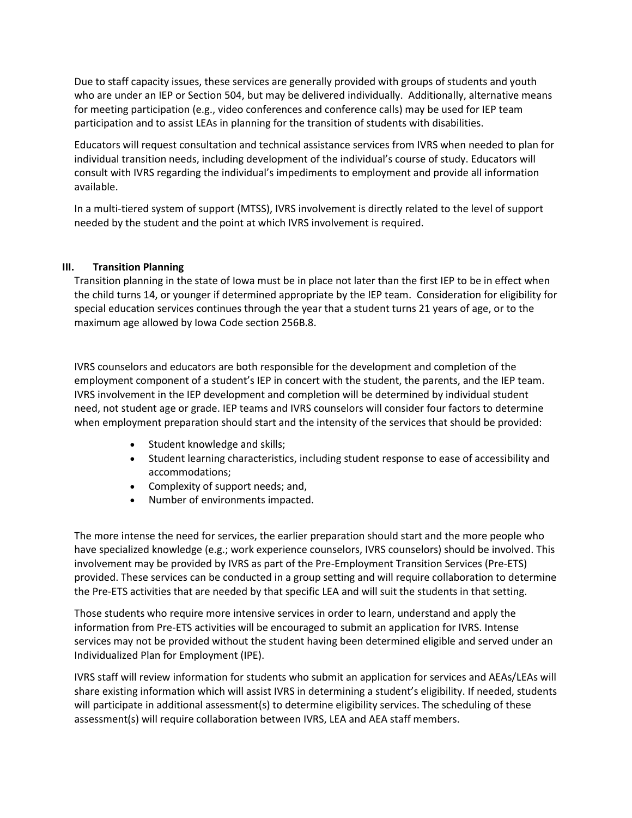Due to staff capacity issues, these services are generally provided with groups of students and youth who are under an IEP or Section 504, but may be delivered individually. Additionally, alternative means for meeting participation (e.g., video conferences and conference calls) may be used for IEP team participation and to assist LEAs in planning for the transition of students with disabilities.

Educators will request consultation and technical assistance services from IVRS when needed to plan for individual transition needs, including development of the individual's course of study. Educators will consult with IVRS regarding the individual's impediments to employment and provide all information available.

In a multi-tiered system of support (MTSS), IVRS involvement is directly related to the level of support needed by the student and the point at which IVRS involvement is required.

## **III. Transition Planning**

Transition planning in the state of Iowa must be in place not later than the first IEP to be in effect when the child turns 14, or younger if determined appropriate by the IEP team. Consideration for eligibility for special education services continues through the year that a student turns 21 years of age, or to the maximum age allowed by Iowa Code section 256B.8.

IVRS counselors and educators are both responsible for the development and completion of the employment component of a student's IEP in concert with the student, the parents, and the IEP team. IVRS involvement in the IEP development and completion will be determined by individual student need, not student age or grade. IEP teams and IVRS counselors will consider four factors to determine when employment preparation should start and the intensity of the services that should be provided:

- Student knowledge and skills;
- Student learning characteristics, including student response to ease of accessibility and accommodations;
- Complexity of support needs; and,
- Number of environments impacted.

The more intense the need for services, the earlier preparation should start and the more people who have specialized knowledge (e.g.; work experience counselors, IVRS counselors) should be involved. This involvement may be provided by IVRS as part of the Pre-Employment Transition Services (Pre-ETS) provided. These services can be conducted in a group setting and will require collaboration to determine the Pre-ETS activities that are needed by that specific LEA and will suit the students in that setting.

Those students who require more intensive services in order to learn, understand and apply the information from Pre-ETS activities will be encouraged to submit an application for IVRS. Intense services may not be provided without the student having been determined eligible and served under an Individualized Plan for Employment (IPE).

IVRS staff will review information for students who submit an application for services and AEAs/LEAs will share existing information which will assist IVRS in determining a student's eligibility. If needed, students will participate in additional assessment(s) to determine eligibility services. The scheduling of these assessment(s) will require collaboration between IVRS, LEA and AEA staff members.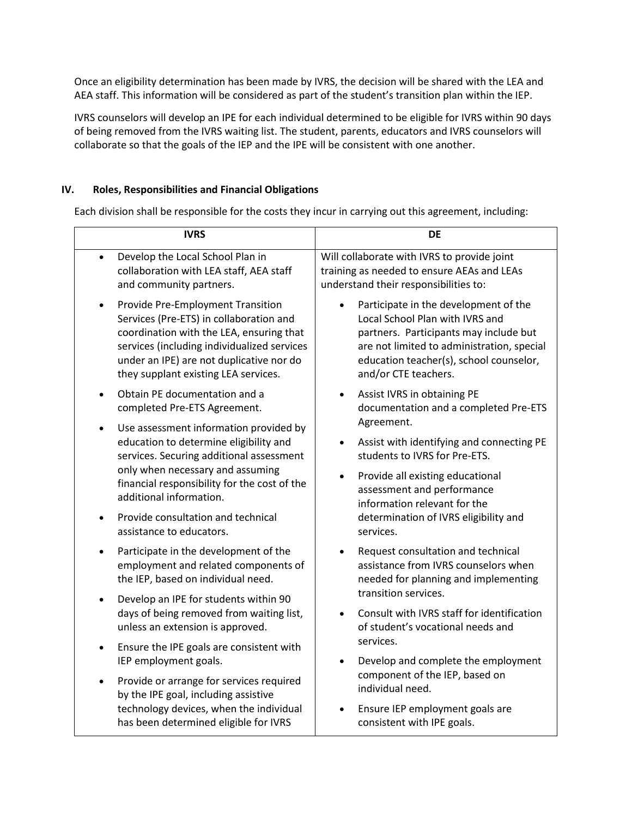Once an eligibility determination has been made by IVRS, the decision will be shared with the LEA and AEA staff. This information will be considered as part of the student's transition plan within the IEP.

IVRS counselors will develop an IPE for each individual determined to be eligible for IVRS within 90 days of being removed from the IVRS waiting list. The student, parents, educators and IVRS counselors will collaborate so that the goals of the IEP and the IPE will be consistent with one another.

# **IV. Roles, Responsibilities and Financial Obligations**

Each division shall be responsible for the costs they incur in carrying out this agreement, including:

| <b>IVRS</b>                                                                                                                  | <b>DE</b>                                                                                               |
|------------------------------------------------------------------------------------------------------------------------------|---------------------------------------------------------------------------------------------------------|
| Develop the Local School Plan in                                                                                             | Will collaborate with IVRS to provide joint                                                             |
| collaboration with LEA staff, AEA staff                                                                                      | training as needed to ensure AEAs and LEAs                                                              |
| and community partners.                                                                                                      | understand their responsibilities to:                                                                   |
| Provide Pre-Employment Transition                                                                                            | Participate in the development of the                                                                   |
| Services (Pre-ETS) in collaboration and                                                                                      | Local School Plan with IVRS and                                                                         |
| coordination with the LEA, ensuring that                                                                                     | partners. Participants may include but                                                                  |
| services (including individualized services                                                                                  | are not limited to administration, special                                                              |
| under an IPE) are not duplicative nor do                                                                                     | education teacher(s), school counselor,                                                                 |
| they supplant existing LEA services.                                                                                         | and/or CTE teachers.                                                                                    |
| Obtain PE documentation and a                                                                                                | Assist IVRS in obtaining PE                                                                             |
| completed Pre-ETS Agreement.                                                                                                 | documentation and a completed Pre-ETS                                                                   |
| Use assessment information provided by<br>education to determine eligibility and<br>services. Securing additional assessment | Agreement.<br>Assist with identifying and connecting PE<br>$\bullet$<br>students to IVRS for Pre-ETS.   |
| only when necessary and assuming                                                                                             | Provide all existing educational                                                                        |
| financial responsibility for the cost of the                                                                                 | assessment and performance                                                                              |
| additional information.                                                                                                      | information relevant for the                                                                            |
| Provide consultation and technical                                                                                           | determination of IVRS eligibility and                                                                   |
| assistance to educators.                                                                                                     | services.                                                                                               |
| Participate in the development of the                                                                                        | Request consultation and technical                                                                      |
| employment and related components of                                                                                         | assistance from IVRS counselors when                                                                    |
| the IEP, based on individual need.                                                                                           | needed for planning and implementing                                                                    |
| Develop an IPE for students within 90<br>٠<br>days of being removed from waiting list,<br>unless an extension is approved.   | transition services.<br>Consult with IVRS staff for identification<br>of student's vocational needs and |
| Ensure the IPE goals are consistent with                                                                                     | services.                                                                                               |
| IEP employment goals.                                                                                                        | Develop and complete the employment                                                                     |
| Provide or arrange for services required                                                                                     | component of the IEP, based on                                                                          |
| by the IPE goal, including assistive                                                                                         | individual need.                                                                                        |
| technology devices, when the individual                                                                                      | Ensure IEP employment goals are                                                                         |
| has been determined eligible for IVRS                                                                                        | consistent with IPE goals.                                                                              |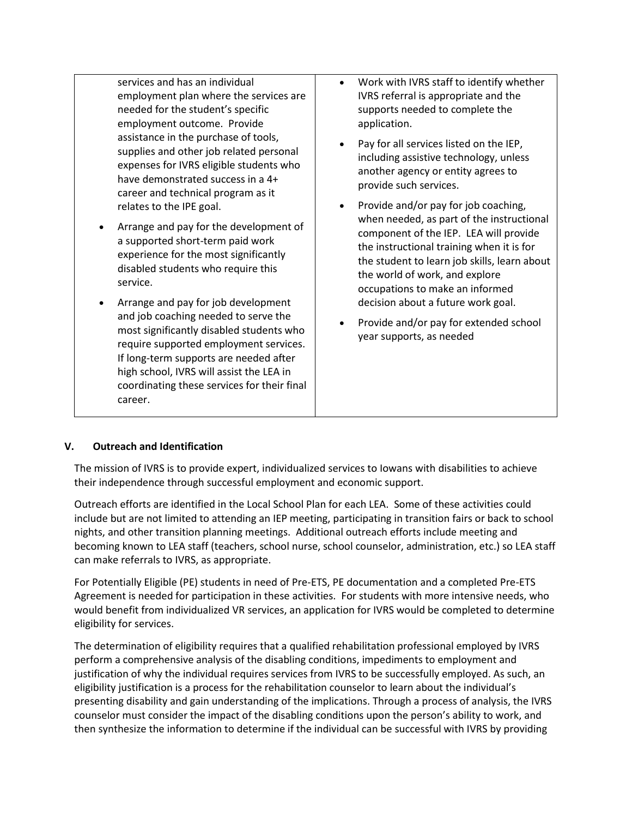services and has an individual employment plan where the services are needed for the student's specific employment outcome. Provide assistance in the purchase of tools, supplies and other job related personal expenses for IVRS eligible students who have demonstrated success in a 4+ career and technical program as it relates to the IPE goal.

- Arrange and pay for the development of a supported short-term paid work experience for the most significantly disabled students who require this service.
- Arrange and pay for job development and job coaching needed to serve the most significantly disabled students who require supported employment services. If long-term supports are needed after high school, IVRS will assist the LEA in coordinating these services for their final career.
- Work with IVRS staff to identify whether IVRS referral is appropriate and the supports needed to complete the application.
- Pay for all services listed on the IEP, including assistive technology, unless another agency or entity agrees to provide such services.
- Provide and/or pay for job coaching, when needed, as part of the instructional component of the IEP. LEA will provide the instructional training when it is for the student to learn job skills, learn about the world of work, and explore occupations to make an informed decision about a future work goal.
- Provide and/or pay for extended school year supports, as needed

# **V. Outreach and Identification**

The mission of IVRS is to provide expert, individualized services to Iowans with disabilities to achieve their independence through successful employment and economic support.

Outreach efforts are identified in the Local School Plan for each LEA. Some of these activities could include but are not limited to attending an IEP meeting, participating in transition fairs or back to school nights, and other transition planning meetings. Additional outreach efforts include meeting and becoming known to LEA staff (teachers, school nurse, school counselor, administration, etc.) so LEA staff can make referrals to IVRS, as appropriate.

For Potentially Eligible (PE) students in need of Pre-ETS, PE documentation and a completed Pre-ETS Agreement is needed for participation in these activities. For students with more intensive needs, who would benefit from individualized VR services, an application for IVRS would be completed to determine eligibility for services.

The determination of eligibility requires that a qualified rehabilitation professional employed by IVRS perform a comprehensive analysis of the disabling conditions, impediments to employment and justification of why the individual requires services from IVRS to be successfully employed. As such, an eligibility justification is a process for the rehabilitation counselor to learn about the individual's presenting disability and gain understanding of the implications. Through a process of analysis, the IVRS counselor must consider the impact of the disabling conditions upon the person's ability to work, and then synthesize the information to determine if the individual can be successful with IVRS by providing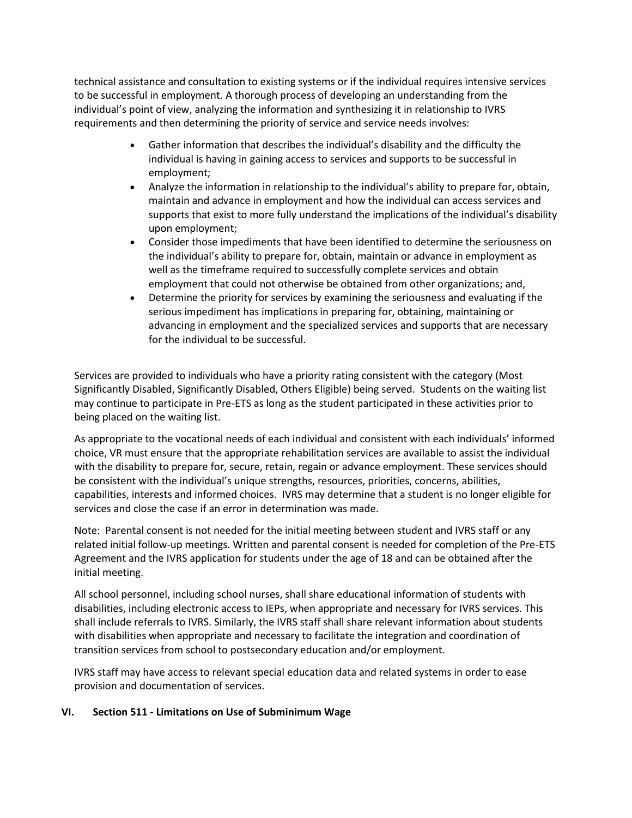technical assistance and consultation to existing systems or if the individual requires intensive services to be successful in employment. A thorough process of developing an understanding from the individual's point of view, analyzing the information and synthesizing it in relationship to IVRS requirements and then determining the priority of service and service needs involves:

- Gather information that describes the individual's disability and the difficulty the individual is having in gaining access to services and supports to be successful in employment;
- Analyze the information in relationship to the individual's ability to prepare for, obtain, maintain and advance in employment and how the individual can access services and supports that exist to more fully understand the implications of the individual's disability upon employment;
- Consider those impediments that have been identified to determine the seriousness on the individual's ability to prepare for, obtain, maintain or advance in employment as well as the timeframe required to successfully complete services and obtain employment that could not otherwise be obtained from other organizations; and,
- Determine the priority for services by examining the seriousness and evaluating if the serious impediment has implications in preparing for, obtaining, maintaining or advancing in employment and the specialized services and supports that are necessary for the individual to be successful.

Services are provided to individuals who have a priority rating consistent with the category (Most Significantly Disabled, Significantly Disabled, Others Eligible) being served. Students on the waiting list may continue to participate in Pre-ETS as long as the student participated in these activities prior to being placed on the waiting list.

As appropriate to the vocational needs of each individual and consistent with each individuals' informed choice, VR must ensure that the appropriate rehabilitation services are available to assist the individual with the disability to prepare for, secure, retain, regain or advance employment. These services should be consistent with the individual's unique strengths, resources, priorities, concerns, abilities, capabilities, interests and informed choices. IVRS may determine that a student is no longer eligible for services and close the case if an error in determination was made.

Note: Parental consent is not needed for the initial meeting between student and IVRS staff or any related initial follow-up meetings. Written and parental consent is needed for completion of the Pre-ETS Agreement and the IVRS application for students under the age of 18 and can be obtained after the initial meeting.

All school personnel, including school nurses, shall share educational information of students with disabilities, including electronic access to IEPs, when appropriate and necessary for IVRS services. This shall include referrals to IVRS. Similarly, the IVRS staff shall share relevant information about students with disabilities when appropriate and necessary to facilitate the integration and coordination of transition services from school to postsecondary education and/or employment.

IVRS staff may have access to relevant special education data and related systems in order to ease provision and documentation of services.

## **VI. Section 511 - Limitations on Use of Subminimum Wage**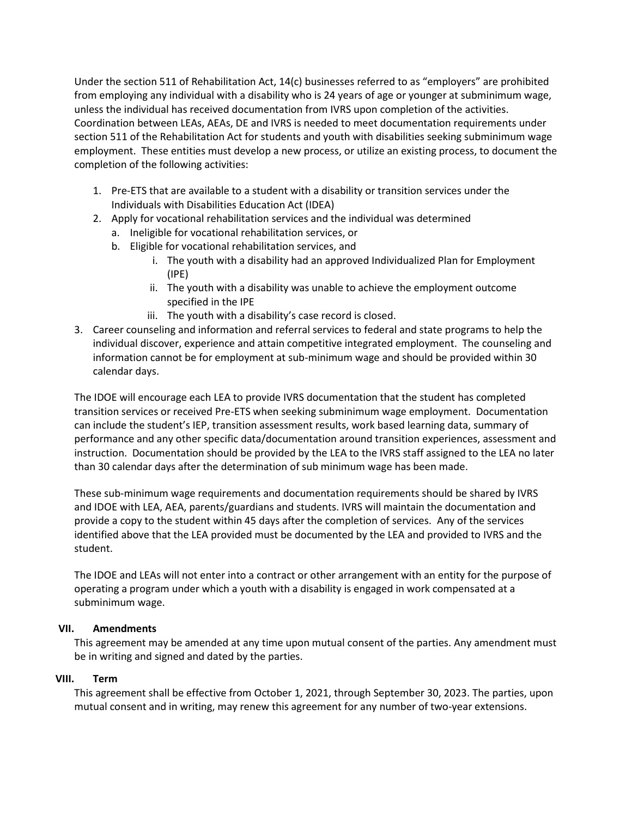Under the section 511 of Rehabilitation Act, 14(c) businesses referred to as "employers" are prohibited from employing any individual with a disability who is 24 years of age or younger at subminimum wage, unless the individual has received documentation from IVRS upon completion of the activities. Coordination between LEAs, AEAs, DE and IVRS is needed to meet documentation requirements under section 511 of the Rehabilitation Act for students and youth with disabilities seeking subminimum wage employment. These entities must develop a new process, or utilize an existing process, to document the completion of the following activities:

- 1. Pre-ETS that are available to a student with a disability or transition services under the Individuals with Disabilities Education Act (IDEA)
- 2. Apply for vocational rehabilitation services and the individual was determined
	- a. Ineligible for vocational rehabilitation services, or
	- b. Eligible for vocational rehabilitation services, and
		- i. The youth with a disability had an approved Individualized Plan for Employment (IPE)
		- ii. The youth with a disability was unable to achieve the employment outcome specified in the IPE
		- iii. The youth with a disability's case record is closed.
- 3. Career counseling and information and referral services to federal and state programs to help the individual discover, experience and attain competitive integrated employment. The counseling and information cannot be for employment at sub-minimum wage and should be provided within 30 calendar days.

The IDOE will encourage each LEA to provide IVRS documentation that the student has completed transition services or received Pre-ETS when seeking subminimum wage employment. Documentation can include the student's IEP, transition assessment results, work based learning data, summary of performance and any other specific data/documentation around transition experiences, assessment and instruction. Documentation should be provided by the LEA to the IVRS staff assigned to the LEA no later than 30 calendar days after the determination of sub minimum wage has been made.

These sub-minimum wage requirements and documentation requirements should be shared by IVRS and IDOE with LEA, AEA, parents/guardians and students. IVRS will maintain the documentation and provide a copy to the student within 45 days after the completion of services. Any of the services identified above that the LEA provided must be documented by the LEA and provided to IVRS and the student.

The IDOE and LEAs will not enter into a contract or other arrangement with an entity for the purpose of operating a program under which a youth with a disability is engaged in work compensated at a subminimum wage.

## **VII. Amendments**

This agreement may be amended at any time upon mutual consent of the parties. Any amendment must be in writing and signed and dated by the parties.

## **VIII. Term**

This agreement shall be effective from October 1, 2021, through September 30, 2023. The parties, upon mutual consent and in writing, may renew this agreement for any number of two-year extensions.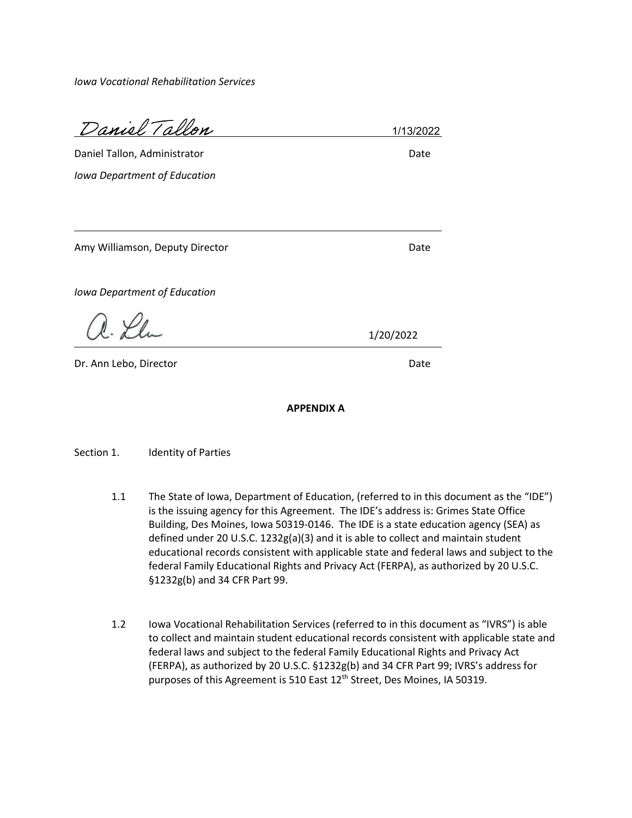*Iowa Vocational Rehabilitation Services*

Daniel Tallon

1/13/2022

Daniel Tallon, Administrator Date Date Date *Iowa Department of Education*

Amy Williamson, Deputy Director **Date and Amy Williamson, Date** 

*Iowa Department of Education*

 $R.\n\mathscr{L}_L$ 

Dr. Ann Lebo, Director Date Date Date Date

1/20/2022

**APPENDIX A**

Section 1. **Identity of Parties** 

- 1.1 The State of Iowa, Department of Education, (referred to in this document as the "IDE") is the issuing agency for this Agreement. The IDE's address is: Grimes State Office Building, Des Moines, Iowa 50319-0146. The IDE is a state education agency (SEA) as defined under 20 U.S.C. 1232g(a)(3) and it is able to collect and maintain student educational records consistent with applicable state and federal laws and subject to the federal Family Educational Rights and Privacy Act (FERPA), as authorized by 20 U.S.C. §1232g(b) and 34 CFR Part 99.
- 1.2 Iowa Vocational Rehabilitation Services (referred to in this document as "IVRS") is able to collect and maintain student educational records consistent with applicable state and federal laws and subject to the federal Family Educational Rights and Privacy Act (FERPA), as authorized by 20 U.S.C. §1232g(b) and 34 CFR Part 99; IVRS's address for purposes of this Agreement is 510 East 12<sup>th</sup> Street, Des Moines, IA 50319.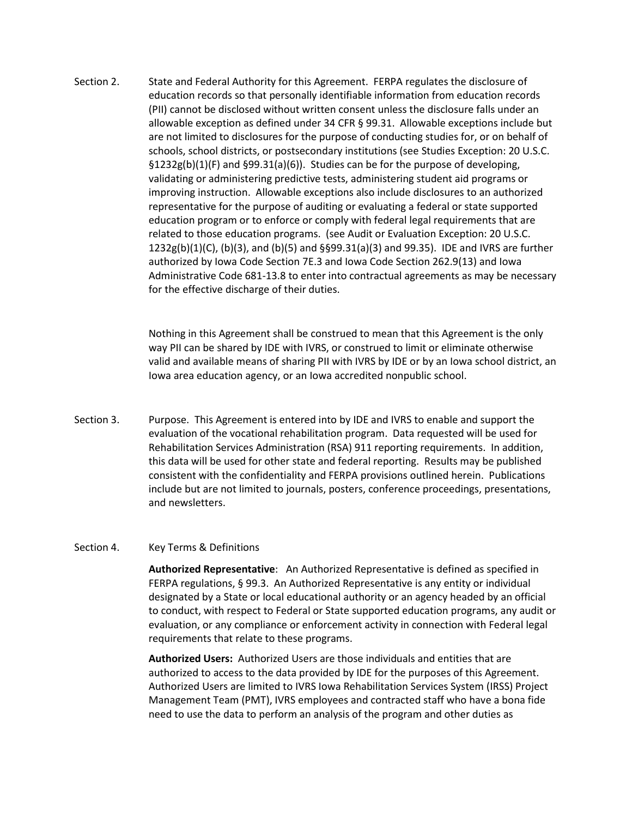Section 2. State and Federal Authority for this Agreement. FERPA regulates the disclosure of education records so that personally identifiable information from education records (PII) cannot be disclosed without written consent unless the disclosure falls under an allowable exception as defined under 34 CFR § 99.31. Allowable exceptions include but are not limited to disclosures for the purpose of conducting studies for, or on behalf of schools, school districts, or postsecondary institutions (see Studies Exception: 20 U.S.C. §1232g(b)(1)(F) and §99.31(a)(6)). Studies can be for the purpose of developing, validating or administering predictive tests, administering student aid programs or improving instruction. Allowable exceptions also include disclosures to an authorized representative for the purpose of auditing or evaluating a federal or state supported education program or to enforce or comply with federal legal requirements that are related to those education programs. (see Audit or Evaluation Exception: 20 U.S.C. 1232g(b)(1)(C), (b)(3), and (b)(5) and §§99.31(a)(3) and 99.35). IDE and IVRS are further authorized by Iowa Code Section 7E.3 and Iowa Code Section 262.9(13) and Iowa Administrative Code 681-13.8 to enter into contractual agreements as may be necessary for the effective discharge of their duties.

> Nothing in this Agreement shall be construed to mean that this Agreement is the only way PII can be shared by IDE with IVRS, or construed to limit or eliminate otherwise valid and available means of sharing PII with IVRS by IDE or by an Iowa school district, an Iowa area education agency, or an Iowa accredited nonpublic school.

Section 3. Purpose. This Agreement is entered into by IDE and IVRS to enable and support the evaluation of the vocational rehabilitation program. Data requested will be used for Rehabilitation Services Administration (RSA) 911 reporting requirements. In addition, this data will be used for other state and federal reporting. Results may be published consistent with the confidentiality and FERPA provisions outlined herein. Publications include but are not limited to journals, posters, conference proceedings, presentations, and newsletters.

#### Section 4. Key Terms & Definitions

**Authorized Representative**: An Authorized Representative is defined as specified in FERPA regulations, § 99.3. An Authorized Representative is any entity or individual designated by a State or local educational authority or an agency headed by an official to conduct, with respect to Federal or State supported education programs, any audit or evaluation, or any compliance or enforcement activity in connection with Federal legal requirements that relate to these programs.

**Authorized Users:** Authorized Users are those individuals and entities that are authorized to access to the data provided by IDE for the purposes of this Agreement. Authorized Users are limited to IVRS Iowa Rehabilitation Services System (IRSS) Project Management Team (PMT), IVRS employees and contracted staff who have a bona fide need to use the data to perform an analysis of the program and other duties as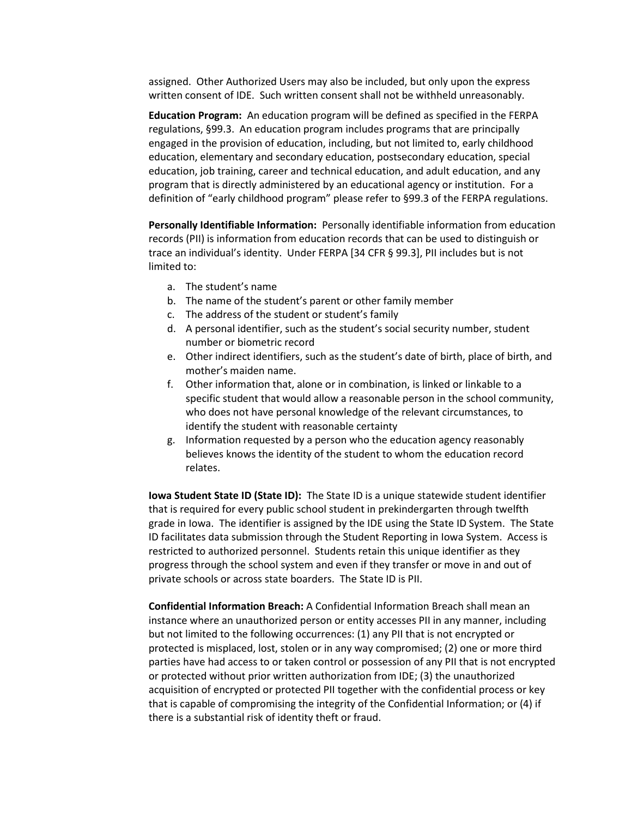assigned. Other Authorized Users may also be included, but only upon the express written consent of IDE. Such written consent shall not be withheld unreasonably.

**Education Program:** An education program will be defined as specified in the FERPA regulations, §99.3. An education program includes programs that are principally engaged in the provision of education, including, but not limited to, early childhood education, elementary and secondary education, postsecondary education, special education, job training, career and technical education, and adult education, and any program that is directly administered by an educational agency or institution. For a definition of "early childhood program" please refer to §99.3 of the FERPA regulations.

**Personally Identifiable Information:** Personally identifiable information from education records (PII) is information from education records that can be used to distinguish or trace an individual's identity. Under FERPA [34 CFR § 99.3], PII includes but is not limited to:

- a. The student's name
- b. The name of the student's parent or other family member
- c. The address of the student or student's family
- d. A personal identifier, such as the student's social security number, student number or biometric record
- e. Other indirect identifiers, such as the student's date of birth, place of birth, and mother's maiden name.
- f. Other information that, alone or in combination, is linked or linkable to a specific student that would allow a reasonable person in the school community, who does not have personal knowledge of the relevant circumstances, to identify the student with reasonable certainty
- g. Information requested by a person who the education agency reasonably believes knows the identity of the student to whom the education record relates.

**Iowa Student State ID (State ID):** The State ID is a unique statewide student identifier that is required for every public school student in prekindergarten through twelfth grade in Iowa. The identifier is assigned by the IDE using the State ID System. The State ID facilitates data submission through the Student Reporting in Iowa System. Access is restricted to authorized personnel. Students retain this unique identifier as they progress through the school system and even if they transfer or move in and out of private schools or across state boarders. The State ID is PII.

**Confidential Information Breach:** A Confidential Information Breach shall mean an instance where an unauthorized person or entity accesses PII in any manner, including but not limited to the following occurrences: (1) any PII that is not encrypted or protected is misplaced, lost, stolen or in any way compromised; (2) one or more third parties have had access to or taken control or possession of any PII that is not encrypted or protected without prior written authorization from IDE; (3) the unauthorized acquisition of encrypted or protected PII together with the confidential process or key that is capable of compromising the integrity of the Confidential Information; or (4) if there is a substantial risk of identity theft or fraud.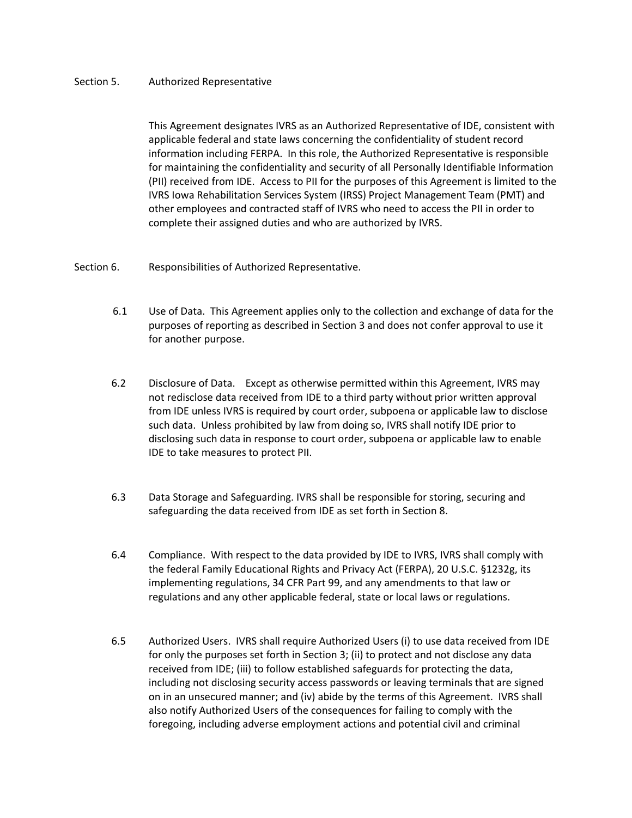#### Section 5. Authorized Representative

This Agreement designates IVRS as an Authorized Representative of IDE, consistent with applicable federal and state laws concerning the confidentiality of student record information including FERPA. In this role, the Authorized Representative is responsible for maintaining the confidentiality and security of all Personally Identifiable Information (PII) received from IDE. Access to PII for the purposes of this Agreement is limited to the IVRS Iowa Rehabilitation Services System (IRSS) Project Management Team (PMT) and other employees and contracted staff of IVRS who need to access the PII in order to complete their assigned duties and who are authorized by IVRS.

#### Section 6. Responsibilities of Authorized Representative.

- 6.1 Use of Data. This Agreement applies only to the collection and exchange of data for the purposes of reporting as described in Section 3 and does not confer approval to use it for another purpose.
- 6.2 Disclosure of Data. Except as otherwise permitted within this Agreement, IVRS may not redisclose data received from IDE to a third party without prior written approval from IDE unless IVRS is required by court order, subpoena or applicable law to disclose such data. Unless prohibited by law from doing so, IVRS shall notify IDE prior to disclosing such data in response to court order, subpoena or applicable law to enable IDE to take measures to protect PII.
- 6.3 Data Storage and Safeguarding. IVRS shall be responsible for storing, securing and safeguarding the data received from IDE as set forth in Section 8.
- 6.4 Compliance. With respect to the data provided by IDE to IVRS, IVRS shall comply with the federal Family Educational Rights and Privacy Act (FERPA), 20 U.S.C. §1232g, its implementing regulations, 34 CFR Part 99, and any amendments to that law or regulations and any other applicable federal, state or local laws or regulations.
- 6.5 Authorized Users. IVRS shall require Authorized Users (i) to use data received from IDE for only the purposes set forth in Section 3; (ii) to protect and not disclose any data received from IDE; (iii) to follow established safeguards for protecting the data, including not disclosing security access passwords or leaving terminals that are signed on in an unsecured manner; and (iv) abide by the terms of this Agreement. IVRS shall also notify Authorized Users of the consequences for failing to comply with the foregoing, including adverse employment actions and potential civil and criminal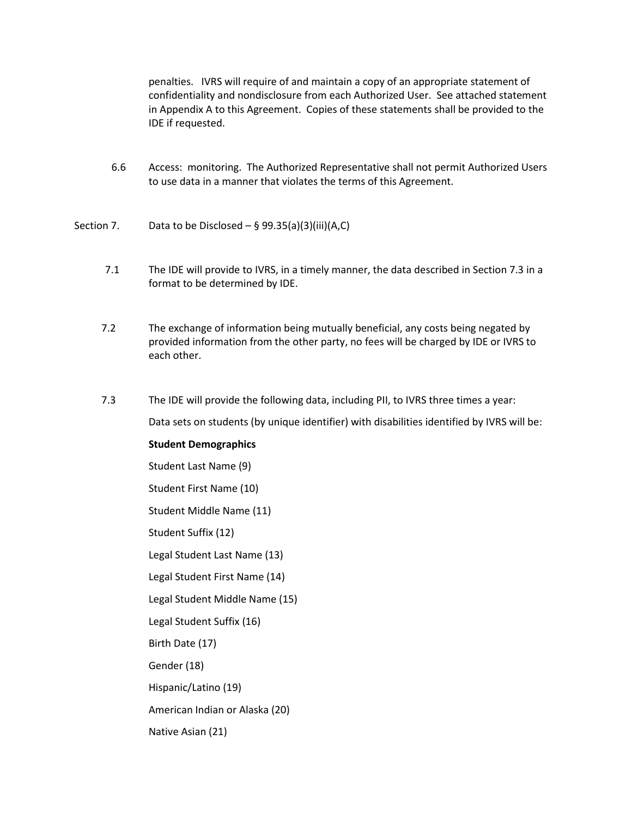penalties. IVRS will require of and maintain a copy of an appropriate statement of confidentiality and nondisclosure from each Authorized User. See attached statement in Appendix A to this Agreement. Copies of these statements shall be provided to the IDE if requested.

- 6.6 Access: monitoring. The Authorized Representative shall not permit Authorized Users to use data in a manner that violates the terms of this Agreement.
- Section 7. Data to be Disclosed  $-$  § 99.35(a)(3)(iii)(A,C)
	- 7.1 The IDE will provide to IVRS, in a timely manner, the data described in Section 7.3 in a format to be determined by IDE.
	- 7.2 The exchange of information being mutually beneficial, any costs being negated by provided information from the other party, no fees will be charged by IDE or IVRS to each other.
	- 7.3 The IDE will provide the following data, including PII, to IVRS three times a year:

Data sets on students (by unique identifier) with disabilities identified by IVRS will be:

#### **Student Demographics**

Student Last Name (9) Student First Name (10)

Student Middle Name (11)

Student Suffix (12)

Legal Student Last Name (13)

Legal Student First Name (14)

Legal Student Middle Name (15)

Legal Student Suffix (16)

Birth Date (17)

Gender (18)

Hispanic/Latino (19)

American Indian or Alaska (20)

Native Asian (21)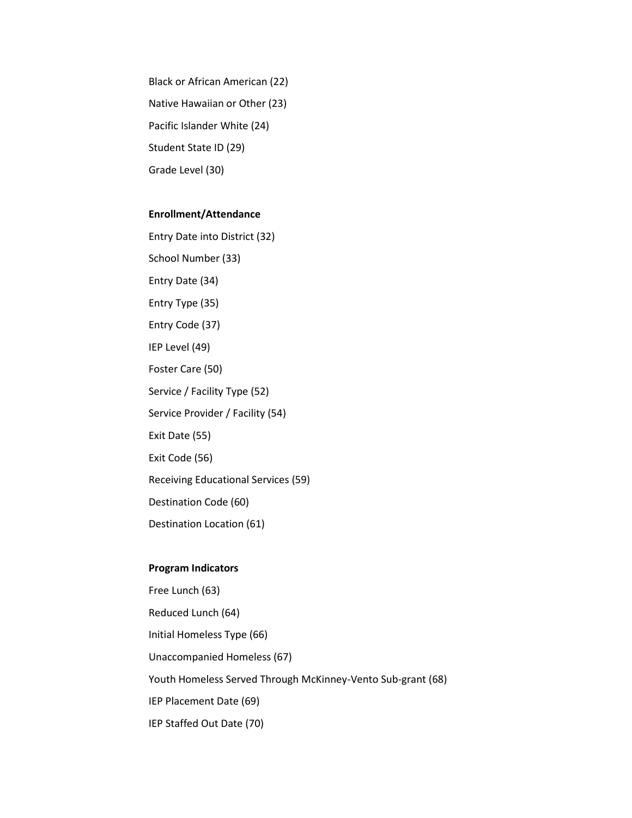Black or African American (22) Native Hawaiian or Other (23) Pacific Islander White (24) Student State ID (29) Grade Level (30)

#### **Enrollment/Attendance**

Entry Date into District (32) School Number (33) Entry Date (34) Entry Type (35) Entry Code (37) IEP Level (49) Foster Care (50) Service / Facility Type (52) Service Provider / Facility (54) Exit Date (55) Exit Code (56) Receiving Educational Services (59) Destination Code (60) Destination Location (61)

## **Program Indicators**

Free Lunch (63) Reduced Lunch (64) Initial Homeless Type (66) Unaccompanied Homeless (67) Youth Homeless Served Through McKinney-Vento Sub-grant (68) IEP Placement Date (69) IEP Staffed Out Date (70)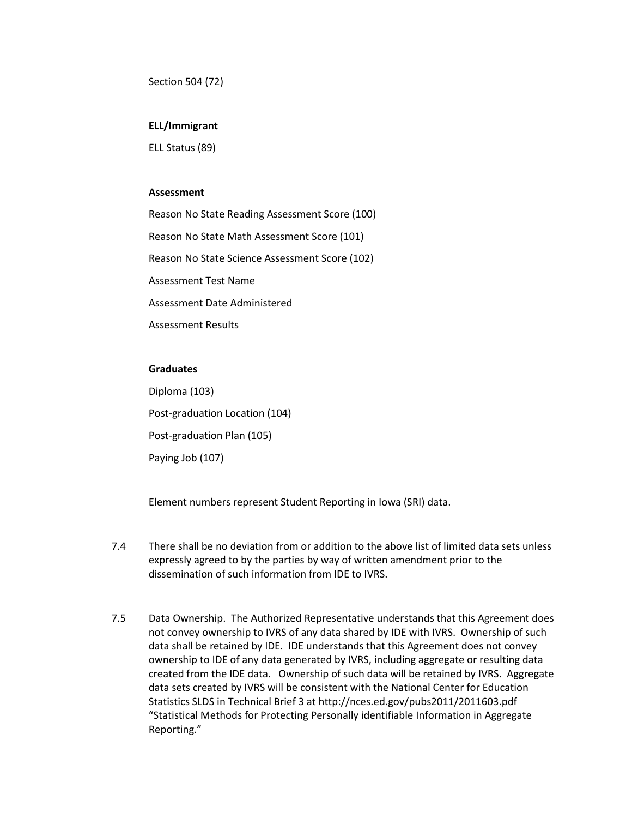Section 504 (72)

#### **ELL/Immigrant**

ELL Status (89)

#### **Assessment**

Reason No State Reading Assessment Score (100) Reason No State Math Assessment Score (101) Reason No State Science Assessment Score (102) Assessment Test Name Assessment Date Administered Assessment Results

# **Graduates**

Diploma (103) Post-graduation Location (104) Post-graduation Plan (105) Paying Job (107)

Element numbers represent Student Reporting in Iowa (SRI) data.

- 7.4 There shall be no deviation from or addition to the above list of limited data sets unless expressly agreed to by the parties by way of written amendment prior to the dissemination of such information from IDE to IVRS.
- 7.5 Data Ownership. The Authorized Representative understands that this Agreement does not convey ownership to IVRS of any data shared by IDE with IVRS. Ownership of such data shall be retained by IDE. IDE understands that this Agreement does not convey ownership to IDE of any data generated by IVRS, including aggregate or resulting data created from the IDE data. Ownership of such data will be retained by IVRS. Aggregate data sets created by IVRS will be consistent with the National Center for Education Statistics SLDS in Technical Brief 3 at http://nces.ed.gov/pubs2011/2011603.pdf "Statistical Methods for Protecting Personally identifiable Information in Aggregate Reporting."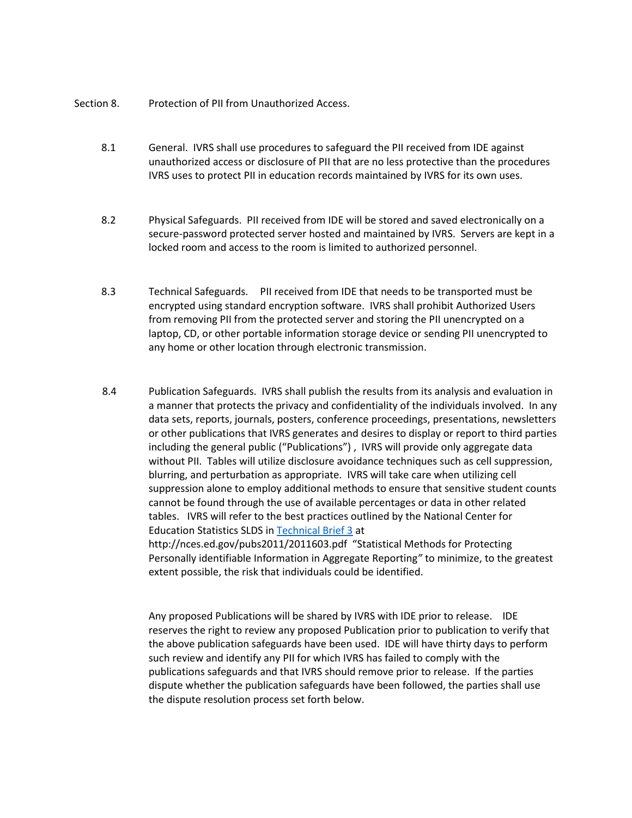Section 8. Protection of PII from Unauthorized Access.

- 8.1 General. IVRS shall use procedures to safeguard the PII received from IDE against unauthorized access or disclosure of PII that are no less protective than the procedures IVRS uses to protect PII in education records maintained by IVRS for its own uses.
- 8.2 Physical Safeguards. PII received from IDE will be stored and saved electronically on a secure-password protected server hosted and maintained by IVRS. Servers are kept in a locked room and access to the room is limited to authorized personnel.
- 8.3 Technical Safeguards. PII received from IDE that needs to be transported must be encrypted using standard encryption software. IVRS shall prohibit Authorized Users from removing PII from the protected server and storing the PII unencrypted on a laptop, CD, or other portable information storage device or sending PII unencrypted to any home or other location through electronic transmission.
- 8.4 Publication Safeguards. IVRS shall publish the results from its analysis and evaluation in a manner that protects the privacy and confidentiality of the individuals involved. In any data sets, reports, journals, posters, conference proceedings, presentations, newsletters or other publications that IVRS generates and desires to display or report to third parties including the general public ("Publications") , IVRS will provide only aggregate data without PII. Tables will utilize disclosure avoidance techniques such as cell suppression, blurring, and perturbation as appropriate. IVRS will take care when utilizing cell suppression alone to employ additional methods to ensure that sensitive student counts cannot be found through the use of available percentages or data in other related tables. IVRS will refer to the best practices outlined by the National Center for Education Statistics SLDS in [Technical Brief 3](http://nces.ed.gov/pubs2011/2011603.pdf) at http://nces.ed.gov/pubs2011/2011603.pdf "Statistical Methods for Protecting

Personally identifiable Information in Aggregate Reporting*"* to minimize, to the greatest extent possible, the risk that individuals could be identified.

Any proposed Publications will be shared by IVRS with IDE prior to release. IDE reserves the right to review any proposed Publication prior to publication to verify that the above publication safeguards have been used. IDE will have thirty days to perform such review and identify any PII for which IVRS has failed to comply with the publications safeguards and that IVRS should remove prior to release. If the parties dispute whether the publication safeguards have been followed, the parties shall use the dispute resolution process set forth below.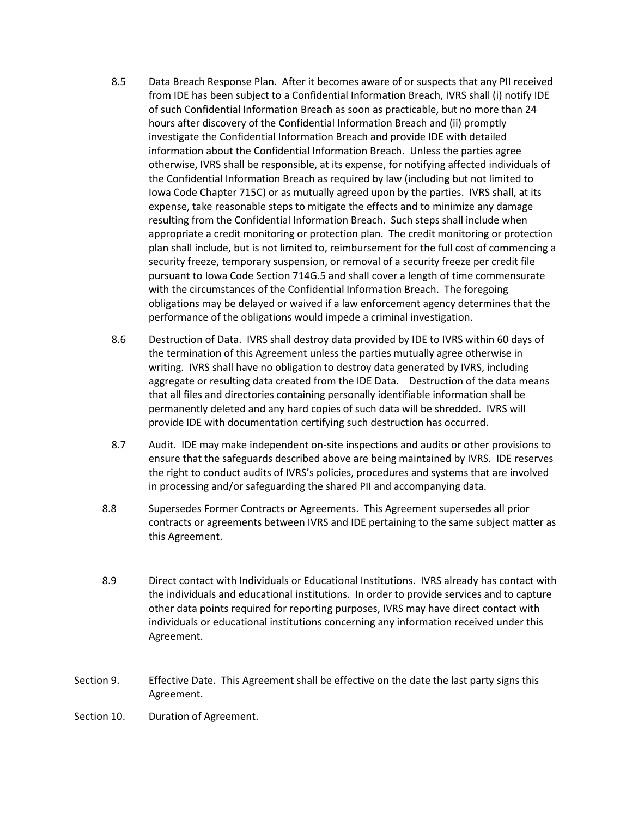- 8.5 Data Breach Response Plan. After it becomes aware of or suspects that any PII received from IDE has been subject to a Confidential Information Breach, IVRS shall (i) notify IDE of such Confidential Information Breach as soon as practicable, but no more than 24 hours after discovery of the Confidential Information Breach and (ii) promptly investigate the Confidential Information Breach and provide IDE with detailed information about the Confidential Information Breach. Unless the parties agree otherwise, IVRS shall be responsible, at its expense, for notifying affected individuals of the Confidential Information Breach as required by law (including but not limited to Iowa Code Chapter 715C) or as mutually agreed upon by the parties. IVRS shall, at its expense, take reasonable steps to mitigate the effects and to minimize any damage resulting from the Confidential Information Breach. Such steps shall include when appropriate a credit monitoring or protection plan. The credit monitoring or protection plan shall include, but is not limited to, reimbursement for the full cost of commencing a security freeze, temporary suspension, or removal of a security freeze per credit file pursuant to Iowa Code Section 714G.5 and shall cover a length of time commensurate with the circumstances of the Confidential Information Breach. The foregoing obligations may be delayed or waived if a law enforcement agency determines that the performance of the obligations would impede a criminal investigation.
- 8.6 Destruction of Data. IVRS shall destroy data provided by IDE to IVRS within 60 days of the termination of this Agreement unless the parties mutually agree otherwise in writing. IVRS shall have no obligation to destroy data generated by IVRS, including aggregate or resulting data created from the IDE Data. Destruction of the data means that all files and directories containing personally identifiable information shall be permanently deleted and any hard copies of such data will be shredded. IVRS will provide IDE with documentation certifying such destruction has occurred.
- 8.7 Audit. IDE may make independent on-site inspections and audits or other provisions to ensure that the safeguards described above are being maintained by IVRS. IDE reserves the right to conduct audits of IVRS's policies, procedures and systems that are involved in processing and/or safeguarding the shared PII and accompanying data.
- 8.8 Supersedes Former Contracts or Agreements. This Agreement supersedes all prior contracts or agreements between IVRS and IDE pertaining to the same subject matter as this Agreement.
- 8.9 Direct contact with Individuals or Educational Institutions. IVRS already has contact with the individuals and educational institutions. In order to provide services and to capture other data points required for reporting purposes, IVRS may have direct contact with individuals or educational institutions concerning any information received under this Agreement.
- Section 9. Effective Date. This Agreement shall be effective on the date the last party signs this Agreement.
- Section 10. Duration of Agreement.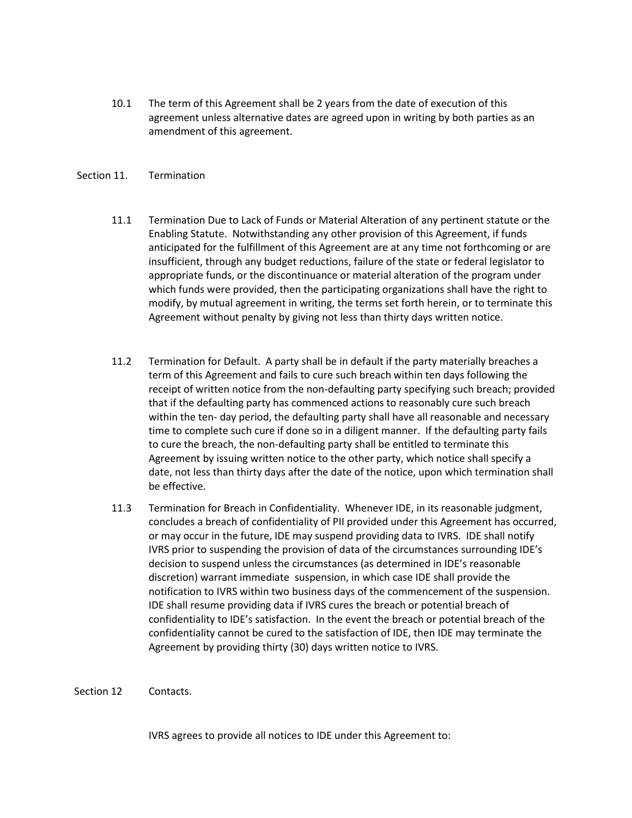10.1 The term of this Agreement shall be 2 years from the date of execution of this agreement unless alternative dates are agreed upon in writing by both parties as an amendment of this agreement.

#### Section 11. Termination

- 11.1 Termination Due to Lack of Funds or Material Alteration of any pertinent statute or the Enabling Statute. Notwithstanding any other provision of this Agreement, if funds anticipated for the fulfillment of this Agreement are at any time not forthcoming or are insufficient, through any budget reductions, failure of the state or federal legislator to appropriate funds, or the discontinuance or material alteration of the program under which funds were provided, then the participating organizations shall have the right to modify, by mutual agreement in writing, the terms set forth herein, or to terminate this Agreement without penalty by giving not less than thirty days written notice.
- 11.2 Termination for Default. A party shall be in default if the party materially breaches a term of this Agreement and fails to cure such breach within ten days following the receipt of written notice from the non-defaulting party specifying such breach; provided that if the defaulting party has commenced actions to reasonably cure such breach within the ten- day period, the defaulting party shall have all reasonable and necessary time to complete such cure if done so in a diligent manner. If the defaulting party fails to cure the breach, the non-defaulting party shall be entitled to terminate this Agreement by issuing written notice to the other party, which notice shall specify a date, not less than thirty days after the date of the notice, upon which termination shall be effective.
- 11.3 Termination for Breach in Confidentiality. Whenever IDE, in its reasonable judgment, concludes a breach of confidentiality of PII provided under this Agreement has occurred, or may occur in the future, IDE may suspend providing data to IVRS. IDE shall notify IVRS prior to suspending the provision of data of the circumstances surrounding IDE's decision to suspend unless the circumstances (as determined in IDE's reasonable discretion) warrant immediate suspension, in which case IDE shall provide the notification to IVRS within two business days of the commencement of the suspension. IDE shall resume providing data if IVRS cures the breach or potential breach of confidentiality to IDE's satisfaction. In the event the breach or potential breach of the confidentiality cannot be cured to the satisfaction of IDE, then IDE may terminate the Agreement by providing thirty (30) days written notice to IVRS.

#### Section 12 Contacts.

IVRS agrees to provide all notices to IDE under this Agreement to: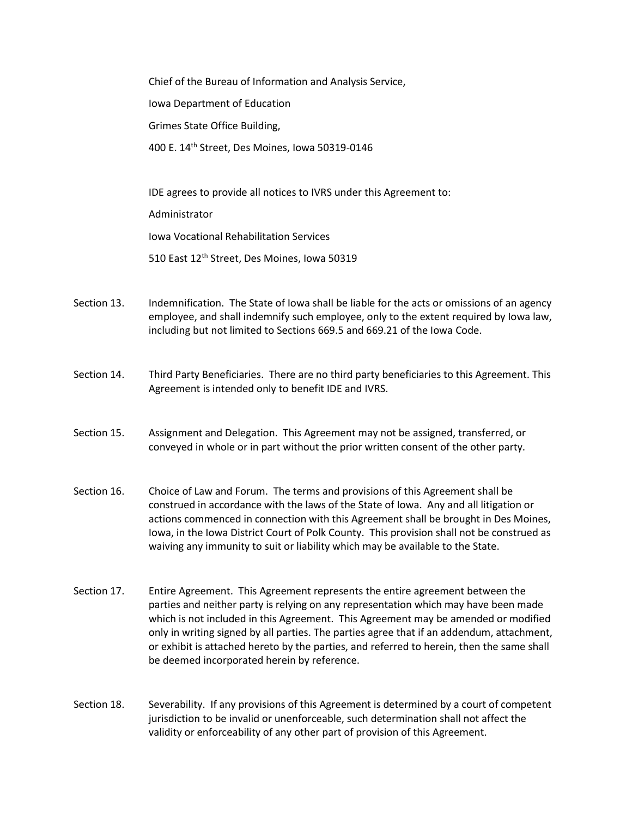Chief of the Bureau of Information and Analysis Service, Iowa Department of Education Grimes State Office Building, 400 E. 14th Street, Des Moines, Iowa 50319-0146

IDE agrees to provide all notices to IVRS under this Agreement to:

Administrator

Iowa Vocational Rehabilitation Services

510 East 12th Street, Des Moines, Iowa 50319

- Section 13. Indemnification. The State of Iowa shall be liable for the acts or omissions of an agency employee, and shall indemnify such employee, only to the extent required by Iowa law, including but not limited to Sections 669.5 and 669.21 of the Iowa Code.
- Section 14. Third Party Beneficiaries. There are no third party beneficiaries to this Agreement. This Agreement is intended only to benefit IDE and IVRS.
- Section 15. Assignment and Delegation. This Agreement may not be assigned, transferred, or conveyed in whole or in part without the prior written consent of the other party.
- Section 16. Choice of Law and Forum. The terms and provisions of this Agreement shall be construed in accordance with the laws of the State of Iowa. Any and all litigation or actions commenced in connection with this Agreement shall be brought in Des Moines, Iowa, in the Iowa District Court of Polk County. This provision shall not be construed as waiving any immunity to suit or liability which may be available to the State.
- Section 17. Entire Agreement. This Agreement represents the entire agreement between the parties and neither party is relying on any representation which may have been made which is not included in this Agreement. This Agreement may be amended or modified only in writing signed by all parties. The parties agree that if an addendum, attachment, or exhibit is attached hereto by the parties, and referred to herein, then the same shall be deemed incorporated herein by reference.
- Section 18. Severability. If any provisions of this Agreement is determined by a court of competent jurisdiction to be invalid or unenforceable, such determination shall not affect the validity or enforceability of any other part of provision of this Agreement.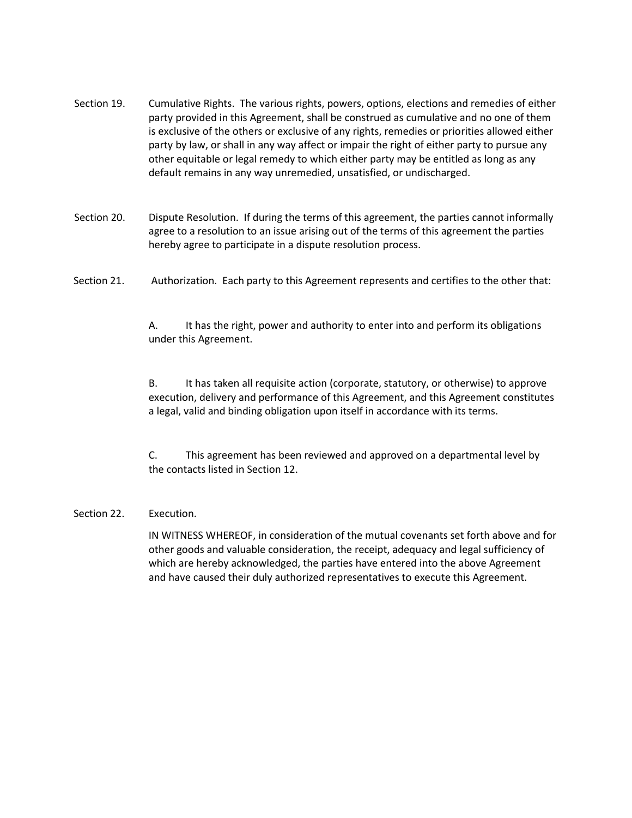- Section 19. Cumulative Rights. The various rights, powers, options, elections and remedies of either party provided in this Agreement, shall be construed as cumulative and no one of them is exclusive of the others or exclusive of any rights, remedies or priorities allowed either party by law, or shall in any way affect or impair the right of either party to pursue any other equitable or legal remedy to which either party may be entitled as long as any default remains in any way unremedied, unsatisfied, or undischarged.
- Section 20. Dispute Resolution. If during the terms of this agreement, the parties cannot informally agree to a resolution to an issue arising out of the terms of this agreement the parties hereby agree to participate in a dispute resolution process.
- Section 21. Authorization. Each party to this Agreement represents and certifies to the other that:

A. It has the right, power and authority to enter into and perform its obligations under this Agreement.

B. It has taken all requisite action (corporate, statutory, or otherwise) to approve execution, delivery and performance of this Agreement, and this Agreement constitutes a legal, valid and binding obligation upon itself in accordance with its terms.

C. This agreement has been reviewed and approved on a departmental level by the contacts listed in Section 12.

#### Section 22. Execution.

IN WITNESS WHEREOF, in consideration of the mutual covenants set forth above and for other goods and valuable consideration, the receipt, adequacy and legal sufficiency of which are hereby acknowledged, the parties have entered into the above Agreement and have caused their duly authorized representatives to execute this Agreement.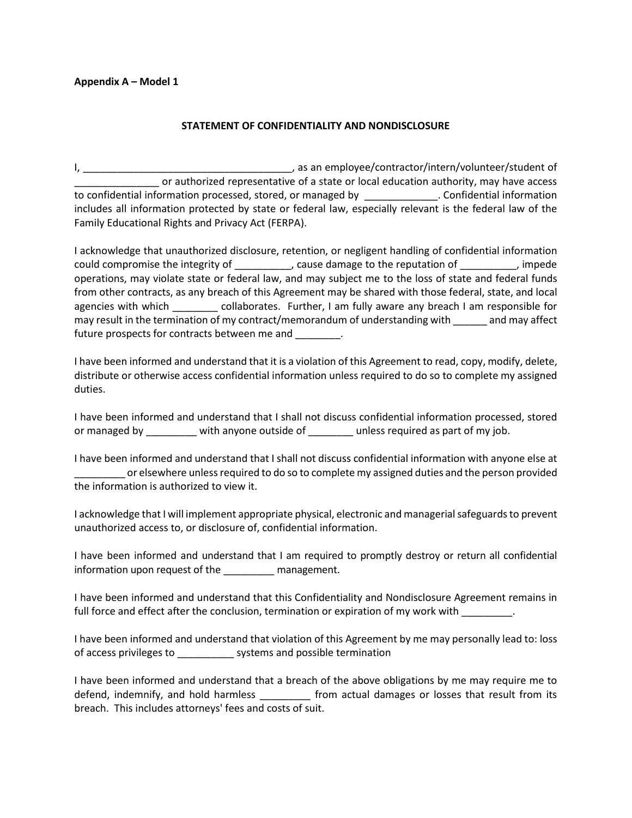#### **Appendix A – Model 1**

#### **STATEMENT OF CONFIDENTIALITY AND NONDISCLOSURE**

I, as an employee/contractor/intern/volunteer/student of \_\_\_\_\_\_\_\_\_\_\_\_\_\_\_ or authorized representative of a state or local education authority, may have access to confidential information processed, stored, or managed by \_\_\_\_\_\_\_\_\_\_\_\_\_. Confidential information includes all information protected by state or federal law, especially relevant is the federal law of the Family Educational Rights and Privacy Act (FERPA).

I acknowledge that unauthorized disclosure, retention, or negligent handling of confidential information could compromise the integrity of \_\_\_\_\_\_\_\_\_\_, cause damage to the reputation of \_\_\_\_\_\_\_\_\_\_, impede operations, may violate state or federal law, and may subject me to the loss of state and federal funds from other contracts, as any breach of this Agreement may be shared with those federal, state, and local agencies with which \_\_\_\_\_\_\_\_\_ collaborates. Further, I am fully aware any breach I am responsible for may result in the termination of my contract/memorandum of understanding with \_\_\_\_\_\_ and may affect future prospects for contracts between me and \_\_\_\_\_\_\_\_.

I have been informed and understand that it is a violation of this Agreement to read, copy, modify, delete, distribute or otherwise access confidential information unless required to do so to complete my assigned duties.

I have been informed and understand that I shall not discuss confidential information processed, stored or managed by \_\_\_\_\_\_\_\_ with anyone outside of \_\_\_\_\_\_\_ unless required as part of my job.

I have been informed and understand that I shall not discuss confidential information with anyone else at \_\_\_\_\_\_\_\_\_ or elsewhere unless required to do so to complete my assigned duties and the person provided the information is authorized to view it.

I acknowledge that I will implement appropriate physical, electronic and managerial safeguards to prevent unauthorized access to, or disclosure of, confidential information.

I have been informed and understand that I am required to promptly destroy or return all confidential information upon request of the \_\_\_\_\_\_\_\_\_ management.

I have been informed and understand that this Confidentiality and Nondisclosure Agreement remains in full force and effect after the conclusion, termination or expiration of my work with \_\_\_\_\_\_\_\_.

I have been informed and understand that violation of this Agreement by me may personally lead to: loss of access privileges to \_\_\_\_\_\_\_\_\_\_ systems and possible termination

I have been informed and understand that a breach of the above obligations by me may require me to defend, indemnify, and hold harmless \_\_\_\_\_\_\_\_\_ from actual damages or losses that result from its breach. This includes attorneys' fees and costs of suit.